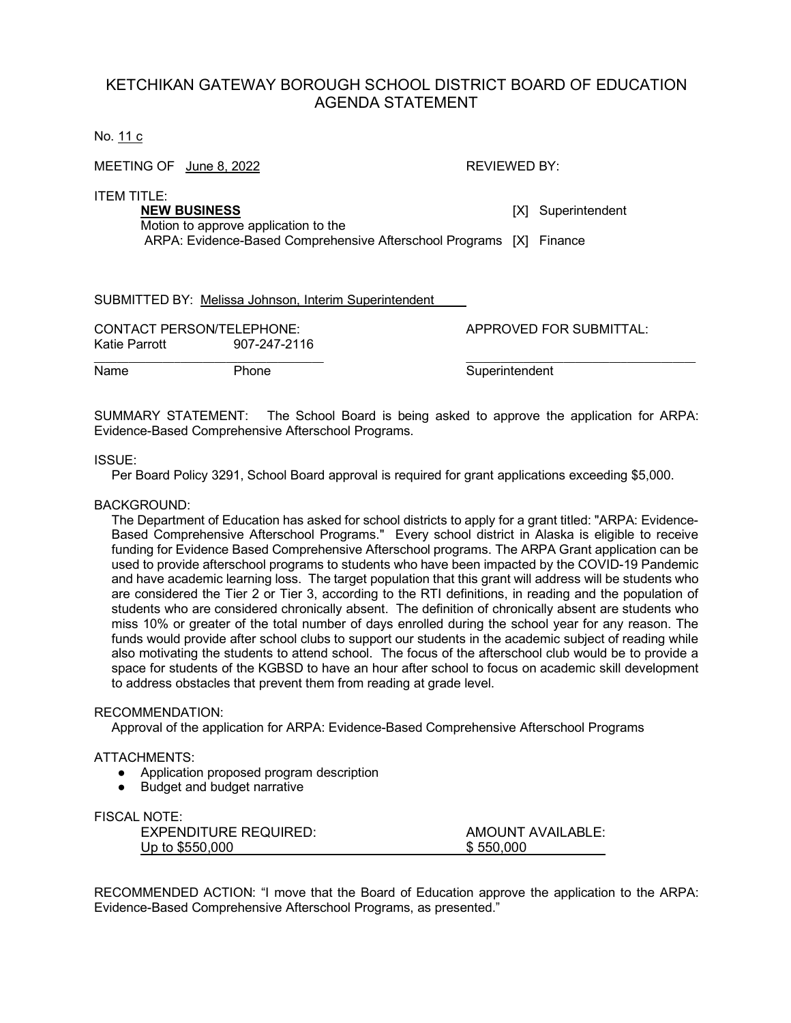# KETCHIKAN GATEWAY BOROUGH SCHOOL DISTRICT BOARD OF EDUCATION AGENDA STATEMENT

No. 11 c

| MEETING OF June 8, 2022                                                    | REVIEWED BY: |                    |
|----------------------------------------------------------------------------|--------------|--------------------|
| ITEM TITLE:<br><b>NEW BUSINESS</b><br>Motion to approve application to the |              | [X] Superintendent |
| ARPA: Evidence-Based Comprehensive Afterschool Programs [X] Finance        |              |                    |
| SUBMITTED BY: Melissa Johnson, Interim Superintendent                      |              |                    |

| <b>CONTACT PERSON/TELEPHONE:</b> |              | APPROVED FOR SUBMITTAL: |
|----------------------------------|--------------|-------------------------|
| Katie Parrott                    | 907-247-2116 |                         |
| Name                             | Phone        | Superintendent          |

SUMMARY STATEMENT: The School Board is being asked to approve the application for ARPA: Evidence-Based Comprehensive Afterschool Programs.

#### ISSUE:

Per Board Policy 3291, School Board approval is required for grant applications exceeding \$5,000.

### BACKGROUND:

The Department of Education has asked for school districts to apply for a grant titled: "ARPA: Evidence-Based Comprehensive Afterschool Programs." Every school district in Alaska is eligible to receive funding for Evidence Based Comprehensive Afterschool programs. The ARPA Grant application can be used to provide afterschool programs to students who have been impacted by the COVID-19 Pandemic and have academic learning loss. The target population that this grant will address will be students who are considered the Tier 2 or Tier 3, according to the RTI definitions, in reading and the population of students who are considered chronically absent. The definition of chronically absent are students who miss 10% or greater of the total number of days enrolled during the school year for any reason. The funds would provide after school clubs to support our students in the academic subject of reading while also motivating the students to attend school. The focus of the afterschool club would be to provide a space for students of the KGBSD to have an hour after school to focus on academic skill development to address obstacles that prevent them from reading at grade level.

#### RECOMMENDATION:

Approval of the application for ARPA: Evidence-Based Comprehensive Afterschool Programs

#### ATTACHMENTS:

- Application proposed program description
- Budget and budget narrative

# FISCAL NOTE:

| .                            |                          |
|------------------------------|--------------------------|
| <b>EXPENDITURE REQUIRED:</b> | <b>AMOUNT AVAILABLE:</b> |
| Up to \$550,000              | \$550,000                |

RECOMMENDED ACTION: "I move that the Board of Education approve the application to the ARPA: Evidence-Based Comprehensive Afterschool Programs, as presented."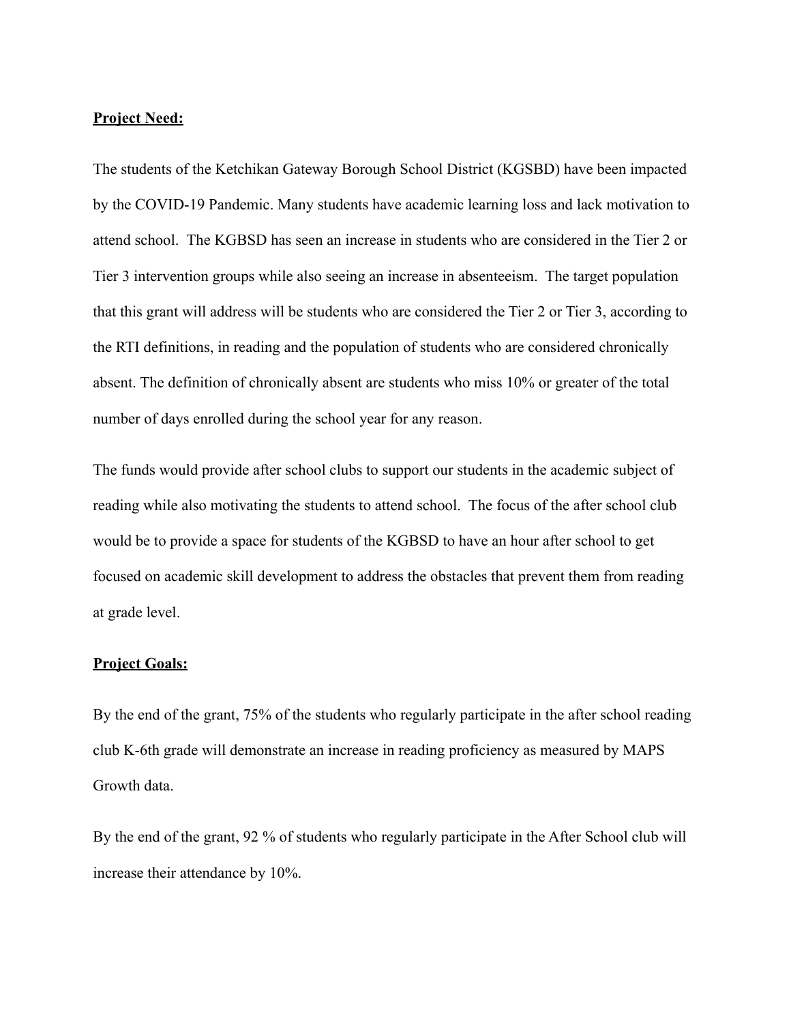# **Project Need:**

The students of the Ketchikan Gateway Borough School District (KGSBD) have been impacted by the COVID-19 Pandemic. Many students have academic learning loss and lack motivation to attend school. The KGBSD has seen an increase in students who are considered in the Tier 2 or Tier 3 intervention groups while also seeing an increase in absenteeism. The target population that this grant will address will be students who are considered the Tier 2 or Tier 3, according to the RTI definitions, in reading and the population of students who are considered chronically absent. The definition of chronically absent are students who miss 10% or greater of the total number of days enrolled during the school year for any reason.

The funds would provide after school clubs to support our students in the academic subject of reading while also motivating the students to attend school. The focus of the after school club would be to provide a space for students of the KGBSD to have an hour after school to get focused on academic skill development to address the obstacles that prevent them from reading at grade level.

# **Project Goals:**

By the end of the grant, 75% of the students who regularly participate in the after school reading club K-6th grade will demonstrate an increase in reading proficiency as measured by MAPS Growth data.

By the end of the grant, 92 % of students who regularly participate in the After School club will increase their attendance by 10%.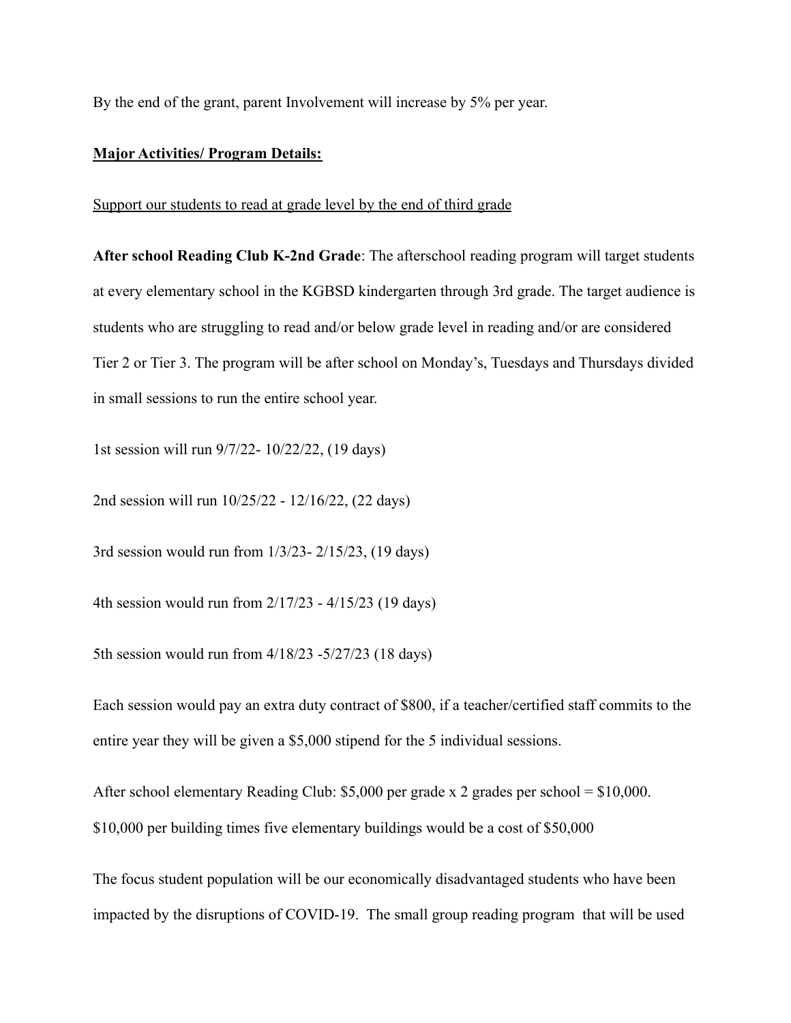By the end of the grant, parent Involvement will increase by 5% per year.

## **Major Activities/ Program Details:**

### Support our students to read at grade level by the end of third grade

**After school Reading Club K-2nd Grade**: The afterschool reading program will target students at every elementary school in the KGBSD kindergarten through 3rd grade. The target audience is students who are struggling to read and/or below grade level in reading and/or are considered Tier 2 or Tier 3. The program will be after school on Monday's, Tuesdays and Thursdays divided in small sessions to run the entire school year.

1st session will run 9/7/22- 10/22/22, (19 days)

2nd session will run 10/25/22 - 12/16/22, (22 days)

3rd session would run from 1/3/23- 2/15/23, (19 days)

4th session would run from 2/17/23 - 4/15/23 (19 days)

5th session would run from 4/18/23 -5/27/23 (18 days)

Each session would pay an extra duty contract of \$800, if a teacher/certified staff commits to the entire year they will be given a \$5,000 stipend for the 5 individual sessions.

After school elementary Reading Club: \$5,000 per grade x 2 grades per school = \$10,000. \$10,000 per building times five elementary buildings would be a cost of \$50,000

The focus student population will be our economically disadvantaged students who have been impacted by the disruptions of COVID-19. The small group reading program that will be used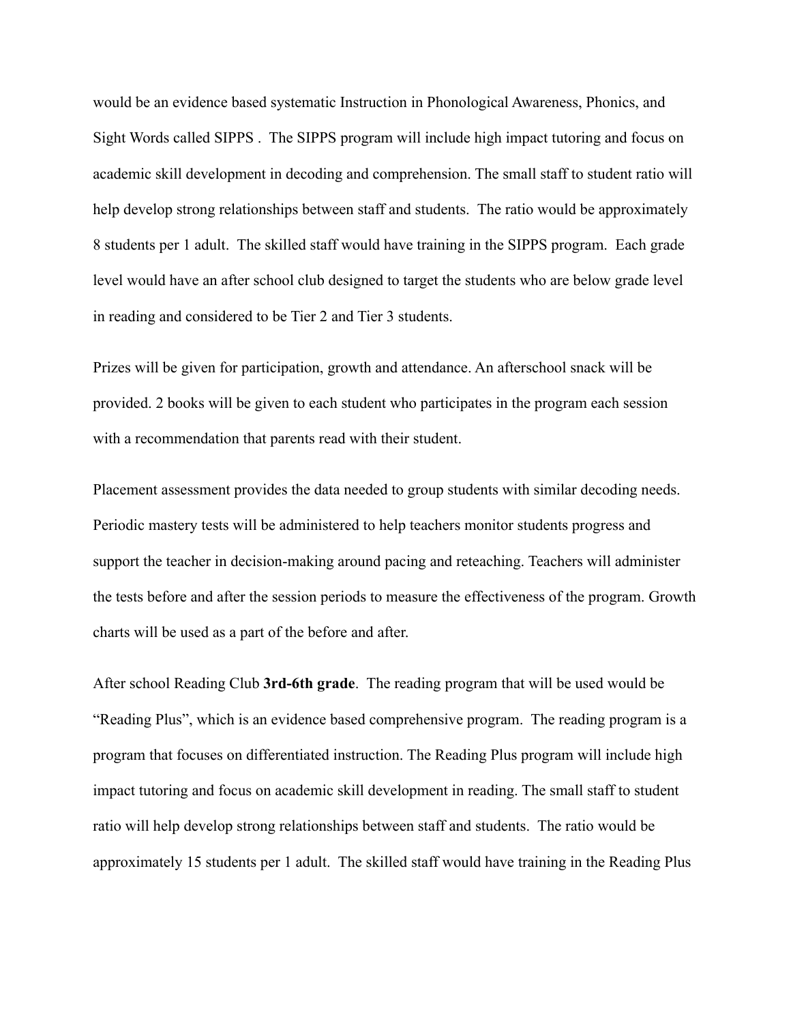would be an evidence based systematic Instruction in Phonological Awareness, Phonics, and Sight Words called SIPPS . The SIPPS program will include high impact tutoring and focus on academic skill development in decoding and comprehension. The small staff to student ratio will help develop strong relationships between staff and students. The ratio would be approximately 8 students per 1 adult. The skilled staff would have training in the SIPPS program. Each grade level would have an after school club designed to target the students who are below grade level in reading and considered to be Tier 2 and Tier 3 students.

Prizes will be given for participation, growth and attendance. An afterschool snack will be provided. 2 books will be given to each student who participates in the program each session with a recommendation that parents read with their student.

Placement assessment provides the data needed to group students with similar decoding needs. Periodic mastery tests will be administered to help teachers monitor students progress and support the teacher in decision-making around pacing and reteaching. Teachers will administer the tests before and after the session periods to measure the effectiveness of the program. Growth charts will be used as a part of the before and after.

After school Reading Club **3rd-6th grade**. The reading program that will be used would be "Reading Plus", which is an evidence based comprehensive program. The reading program is a program that focuses on differentiated instruction. The Reading Plus program will include high impact tutoring and focus on academic skill development in reading. The small staff to student ratio will help develop strong relationships between staff and students. The ratio would be approximately 15 students per 1 adult. The skilled staff would have training in the Reading Plus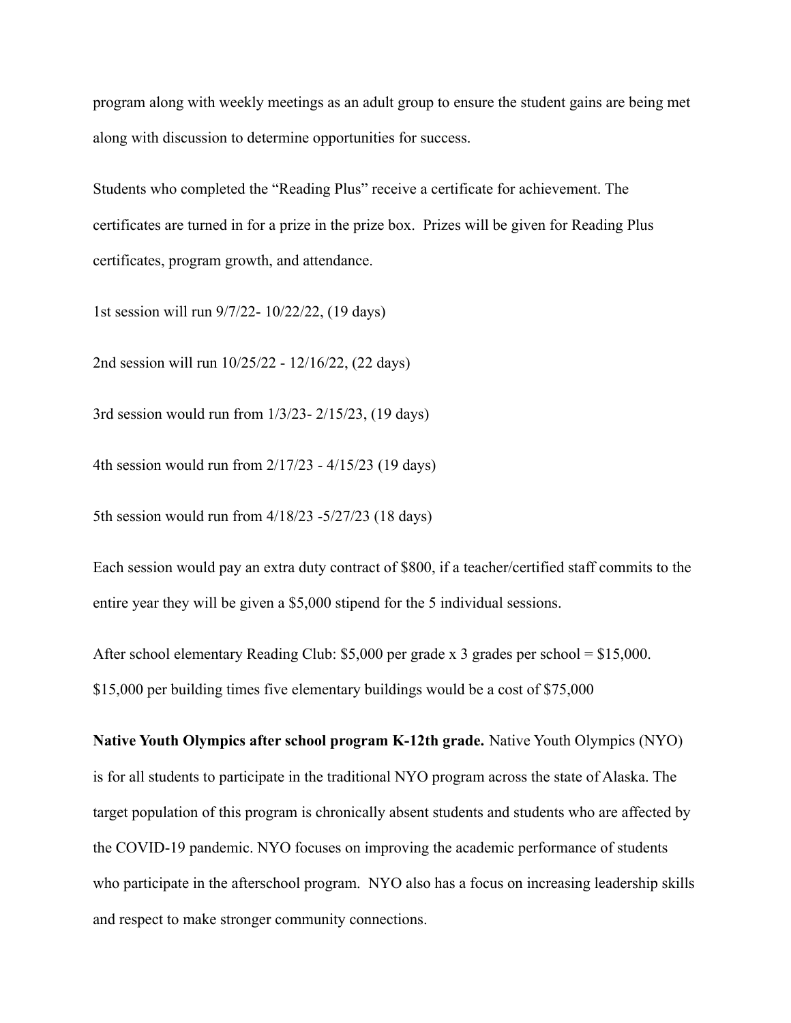program along with weekly meetings as an adult group to ensure the student gains are being met along with discussion to determine opportunities for success.

Students who completed the "Reading Plus" receive a certificate for achievement. The certificates are turned in for a prize in the prize box. Prizes will be given for Reading Plus certificates, program growth, and attendance.

1st session will run 9/7/22- 10/22/22, (19 days)

2nd session will run 10/25/22 - 12/16/22, (22 days)

3rd session would run from 1/3/23- 2/15/23, (19 days)

4th session would run from 2/17/23 - 4/15/23 (19 days)

5th session would run from 4/18/23 -5/27/23 (18 days)

Each session would pay an extra duty contract of \$800, if a teacher/certified staff commits to the entire year they will be given a \$5,000 stipend for the 5 individual sessions.

After school elementary Reading Club: \$5,000 per grade x 3 grades per school = \$15,000. \$15,000 per building times five elementary buildings would be a cost of \$75,000

**Native Youth Olympics after school program K-12th grade.** Native Youth Olympics (NYO) is for all students to participate in the traditional NYO program across the state of Alaska. The target population of this program is chronically absent students and students who are affected by the COVID-19 pandemic. NYO focuses on improving the academic performance of students who participate in the afterschool program. NYO also has a focus on increasing leadership skills and respect to make stronger community connections.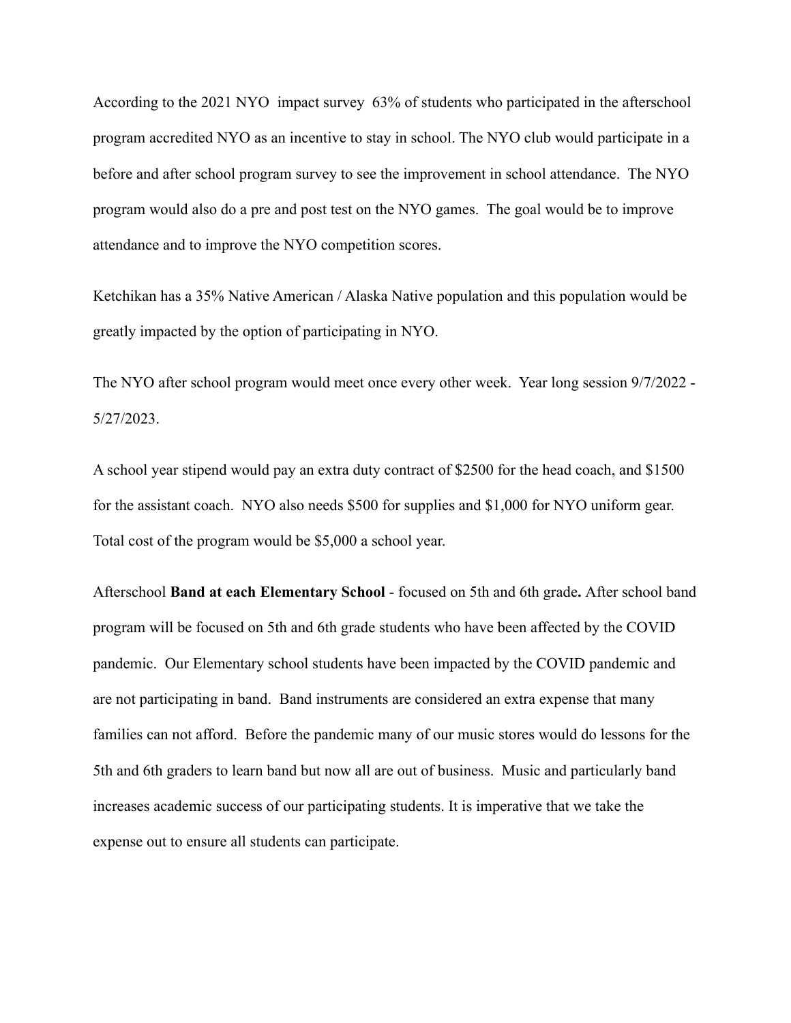According to the 2021 NYO impact survey 63% of students who participated in the afterschool program accredited NYO as an incentive to stay in school. The NYO club would participate in a before and after school program survey to see the improvement in school attendance. The NYO program would also do a pre and post test on the NYO games. The goal would be to improve attendance and to improve the NYO competition scores.

Ketchikan has a 35% Native American / Alaska Native population and this population would be greatly impacted by the option of participating in NYO.

The NYO after school program would meet once every other week. Year long session 9/7/2022 - 5/27/2023.

A school year stipend would pay an extra duty contract of \$2500 for the head coach, and \$1500 for the assistant coach. NYO also needs \$500 for supplies and \$1,000 for NYO uniform gear. Total cost of the program would be \$5,000 a school year.

Afterschool **Band at each Elementary School** - focused on 5th and 6th grade**.** After school band program will be focused on 5th and 6th grade students who have been affected by the COVID pandemic. Our Elementary school students have been impacted by the COVID pandemic and are not participating in band. Band instruments are considered an extra expense that many families can not afford. Before the pandemic many of our music stores would do lessons for the 5th and 6th graders to learn band but now all are out of business. Music and particularly band increases academic success of our participating students. It is imperative that we take the expense out to ensure all students can participate.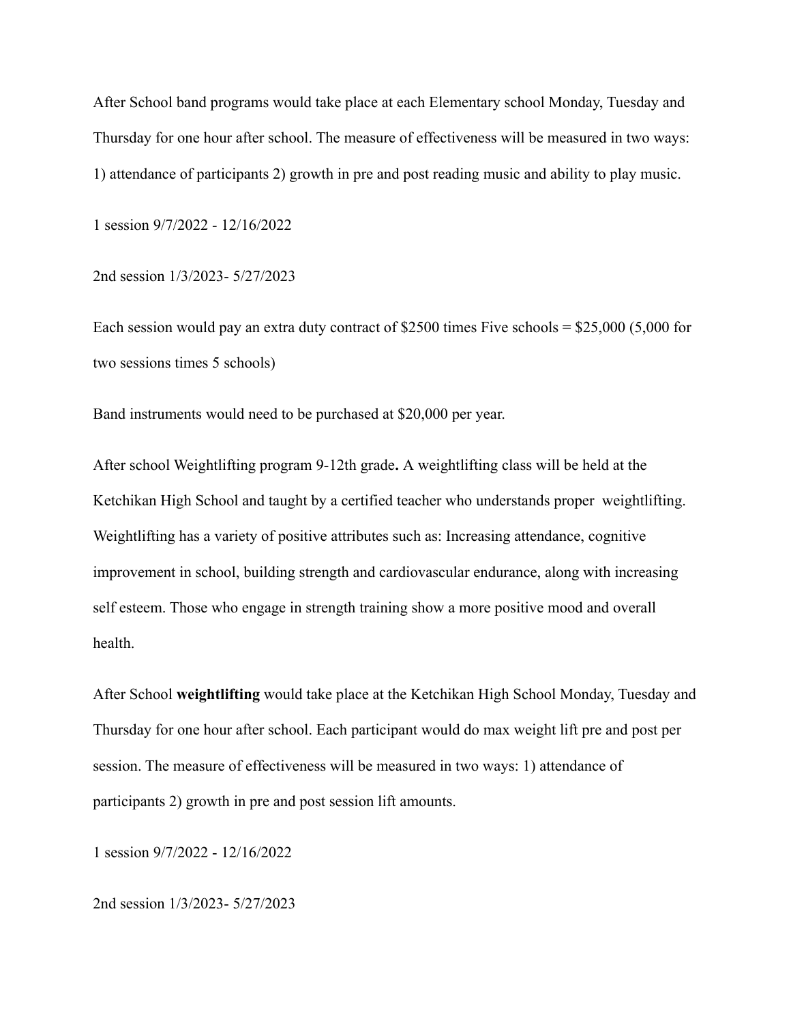After School band programs would take place at each Elementary school Monday, Tuesday and Thursday for one hour after school. The measure of effectiveness will be measured in two ways: 1) attendance of participants 2) growth in pre and post reading music and ability to play music.

1 session 9/7/2022 - 12/16/2022

2nd session 1/3/2023- 5/27/2023

Each session would pay an extra duty contract of \$2500 times Five schools = \$25,000 (5,000 for two sessions times 5 schools)

Band instruments would need to be purchased at \$20,000 per year.

After school Weightlifting program 9-12th grade**.** A weightlifting class will be held at the Ketchikan High School and taught by a certified teacher who understands proper weightlifting. Weightlifting has a variety of positive attributes such as: Increasing attendance, cognitive improvement in school, building strength and cardiovascular endurance, along with increasing self esteem. Those who engage in strength training show a more positive mood and overall health.

After School **weightlifting** would take place at the Ketchikan High School Monday, Tuesday and Thursday for one hour after school. Each participant would do max weight lift pre and post per session. The measure of effectiveness will be measured in two ways: 1) attendance of participants 2) growth in pre and post session lift amounts.

1 session 9/7/2022 - 12/16/2022

2nd session 1/3/2023- 5/27/2023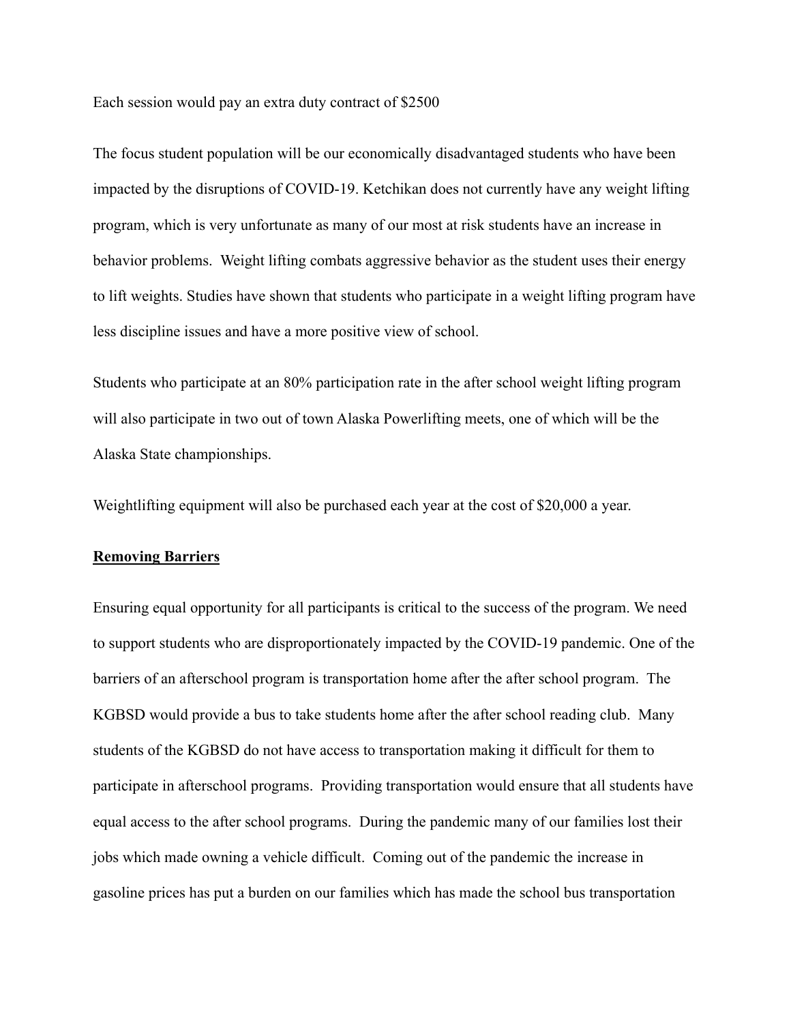Each session would pay an extra duty contract of \$2500

The focus student population will be our economically disadvantaged students who have been impacted by the disruptions of COVID-19. Ketchikan does not currently have any weight lifting program, which is very unfortunate as many of our most at risk students have an increase in behavior problems. Weight lifting combats aggressive behavior as the student uses their energy to lift weights. Studies have shown that students who participate in a weight lifting program have less discipline issues and have a more positive view of school.

Students who participate at an 80% participation rate in the after school weight lifting program will also participate in two out of town Alaska Powerlifting meets, one of which will be the Alaska State championships.

Weightlifting equipment will also be purchased each year at the cost of \$20,000 a year.

## **Removing Barriers**

Ensuring equal opportunity for all participants is critical to the success of the program. We need to support students who are disproportionately impacted by the COVID-19 pandemic. One of the barriers of an afterschool program is transportation home after the after school program. The KGBSD would provide a bus to take students home after the after school reading club. Many students of the KGBSD do not have access to transportation making it difficult for them to participate in afterschool programs. Providing transportation would ensure that all students have equal access to the after school programs. During the pandemic many of our families lost their jobs which made owning a vehicle difficult. Coming out of the pandemic the increase in gasoline prices has put a burden on our families which has made the school bus transportation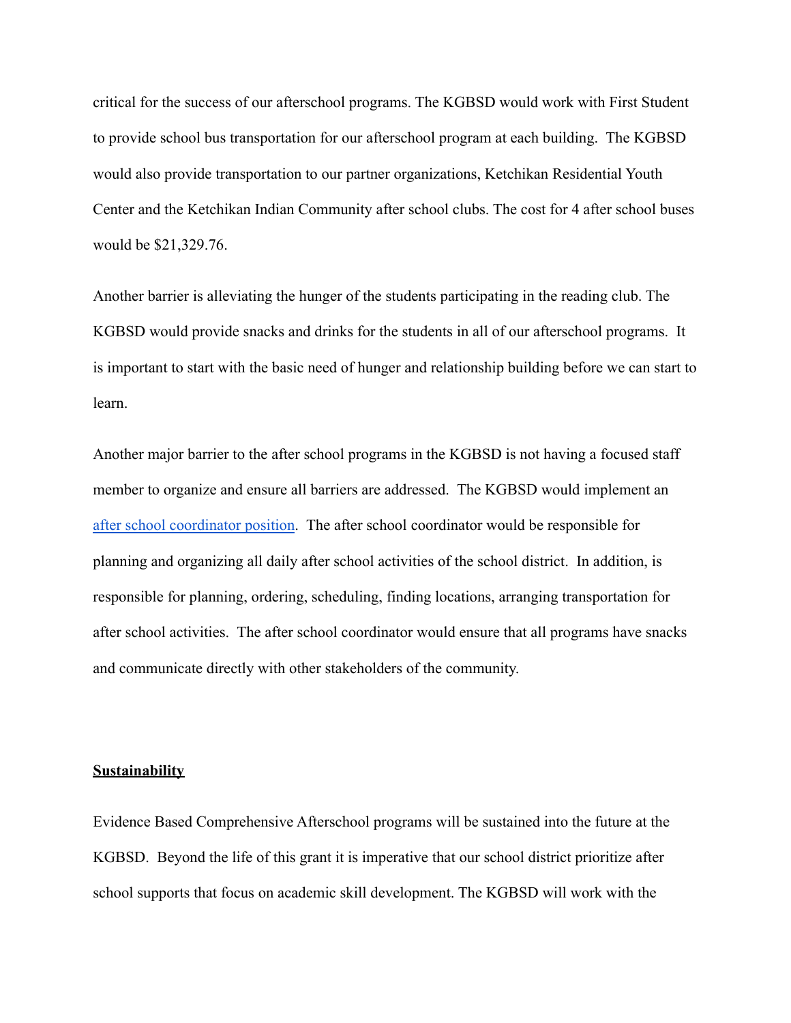critical for the success of our afterschool programs. The KGBSD would work with First Student to provide school bus transportation for our afterschool program at each building. The KGBSD would also provide transportation to our partner organizations, Ketchikan Residential Youth Center and the Ketchikan Indian Community after school clubs. The cost for 4 after school buses would be \$21,329.76.

Another barrier is alleviating the hunger of the students participating in the reading club. The KGBSD would provide snacks and drinks for the students in all of our afterschool programs. It is important to start with the basic need of hunger and relationship building before we can start to learn.

Another major barrier to the after school programs in the KGBSD is not having a focused staff member to organize and ensure all barriers are addressed. The KGBSD would implement an [after school coordinator position](https://docs.google.com/document/d/1tlhYyvrYR5xINGHWkaWlZVRHozERNpgDjTx6TASP4iQ/edit?usp=sharing). The after school coordinator would be responsible for planning and organizing all daily after school activities of the school district. In addition, is responsible for planning, ordering, scheduling, finding locations, arranging transportation for after school activities. The after school coordinator would ensure that all programs have snacks and communicate directly with other stakeholders of the community.

# **Sustainability**

Evidence Based Comprehensive Afterschool programs will be sustained into the future at the KGBSD. Beyond the life of this grant it is imperative that our school district prioritize after school supports that focus on academic skill development. The KGBSD will work with the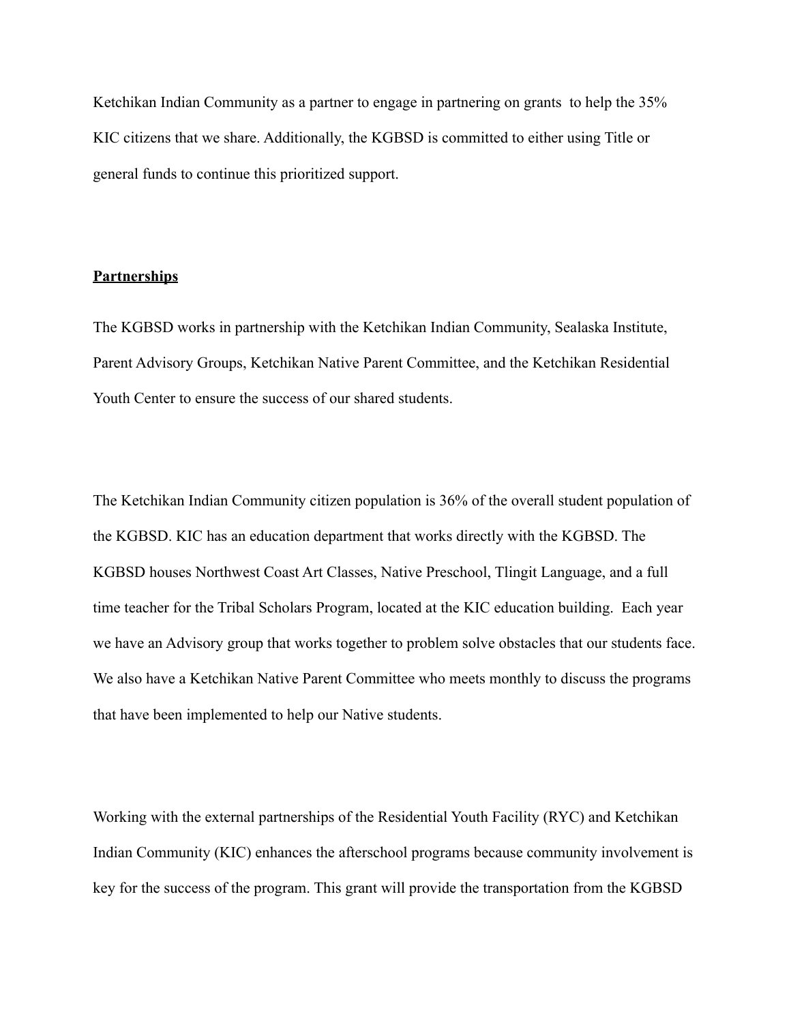Ketchikan Indian Community as a partner to engage in partnering on grants to help the 35% KIC citizens that we share. Additionally, the KGBSD is committed to either using Title or general funds to continue this prioritized support.

# **Partnerships**

The KGBSD works in partnership with the Ketchikan Indian Community, Sealaska Institute, Parent Advisory Groups, Ketchikan Native Parent Committee, and the Ketchikan Residential Youth Center to ensure the success of our shared students.

The Ketchikan Indian Community citizen population is 36% of the overall student population of the KGBSD. KIC has an education department that works directly with the KGBSD. The KGBSD houses Northwest Coast Art Classes, Native Preschool, Tlingit Language, and a full time teacher for the Tribal Scholars Program, located at the KIC education building. Each year we have an Advisory group that works together to problem solve obstacles that our students face. We also have a Ketchikan Native Parent Committee who meets monthly to discuss the programs that have been implemented to help our Native students.

Working with the external partnerships of the Residential Youth Facility (RYC) and Ketchikan Indian Community (KIC) enhances the afterschool programs because community involvement is key for the success of the program. This grant will provide the transportation from the KGBSD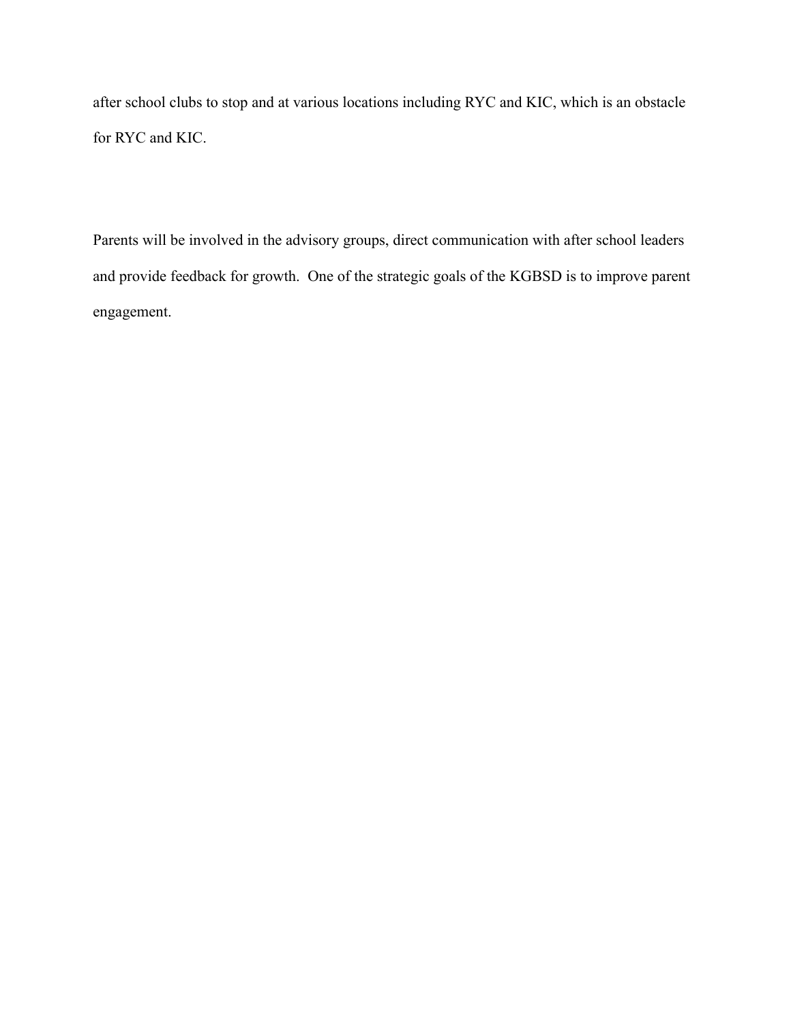after school clubs to stop and at various locations including RYC and KIC, which is an obstacle for RYC and KIC.

Parents will be involved in the advisory groups, direct communication with after school leaders and provide feedback for growth. One of the strategic goals of the KGBSD is to improve parent engagement.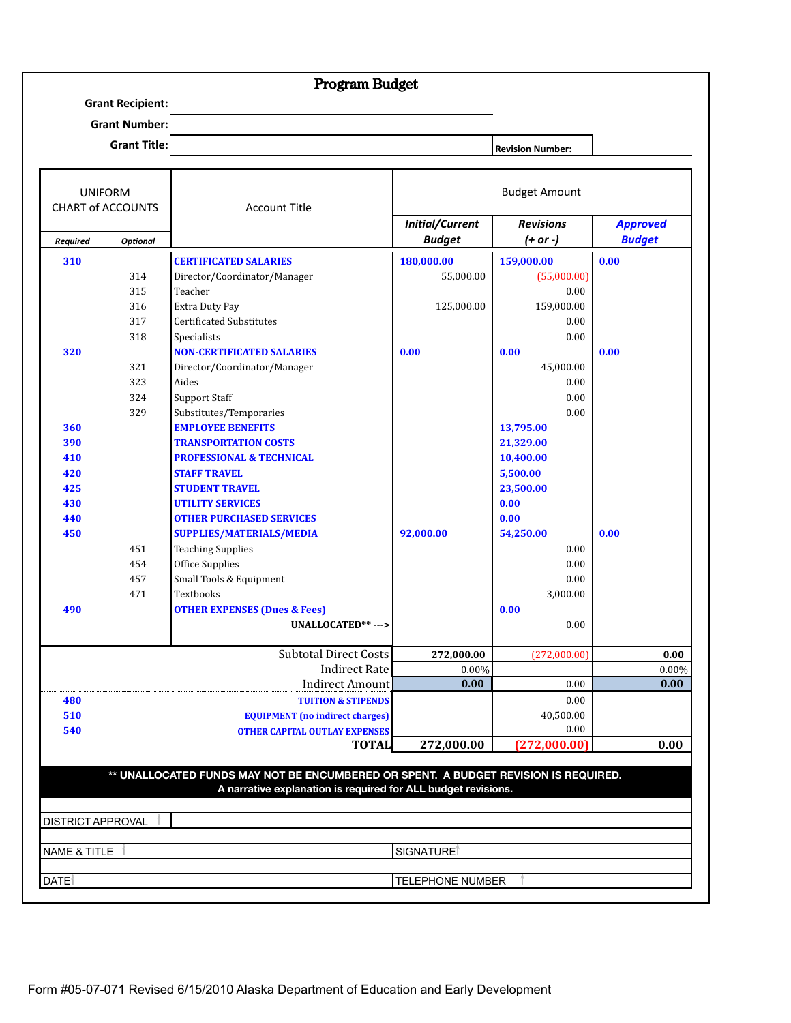# Program Budget

**Grant Recipient:**

**Grant Number:**

**Grant Title: Revision Number: Revision Number: Revision Number: Revision Number: Revision Number: Revision Number: Revision Number: Revision Number: Revision Number: Revision Number: Revision Number:** 

| <b>UNIFORM</b>           |                 | <b>Account Title</b>                                                                                                                                 |                         | <b>Budget Amount</b> |                 |
|--------------------------|-----------------|------------------------------------------------------------------------------------------------------------------------------------------------------|-------------------------|----------------------|-----------------|
| <b>CHART of ACCOUNTS</b> |                 |                                                                                                                                                      | <b>Initial/Current</b>  | <b>Revisions</b>     | <b>Approved</b> |
| <b>Required</b>          | <b>Optional</b> |                                                                                                                                                      | <b>Budget</b>           | $(+ or -)$           | <b>Budget</b>   |
| 310                      |                 | <b>CERTIFICATED SALARIES</b>                                                                                                                         | 180,000.00              | 159,000.00           | 0.00            |
|                          | 314             | Director/Coordinator/Manager                                                                                                                         | 55,000.00               | (55,000.00)          |                 |
|                          | 315             | Teacher                                                                                                                                              |                         | 0.00                 |                 |
|                          | 316             | Extra Duty Pay                                                                                                                                       | 125,000.00              | 159,000.00           |                 |
|                          | 317             | <b>Certificated Substitutes</b>                                                                                                                      |                         | 0.00                 |                 |
|                          | 318             | Specialists                                                                                                                                          |                         | 0.00                 |                 |
| 320                      |                 | <b>NON-CERTIFICATED SALARIES</b>                                                                                                                     | 0.00                    | 0.00                 | 0.00            |
|                          | 321             | Director/Coordinator/Manager                                                                                                                         |                         | 45,000.00            |                 |
|                          | 323             | Aides                                                                                                                                                |                         | 0.00                 |                 |
|                          | 324             | <b>Support Staff</b>                                                                                                                                 |                         | 0.00                 |                 |
|                          | 329             | Substitutes/Temporaries                                                                                                                              |                         | 0.00                 |                 |
| 360                      |                 | <b>EMPLOYEE BENEFITS</b>                                                                                                                             |                         | 13,795.00            |                 |
| 390                      |                 | <b>TRANSPORTATION COSTS</b>                                                                                                                          |                         | 21,329.00            |                 |
| 410                      |                 | <b>PROFESSIONAL &amp; TECHNICAL</b>                                                                                                                  |                         | 10,400.00            |                 |
| 420                      |                 | <b>STAFF TRAVEL</b>                                                                                                                                  |                         | 5,500.00             |                 |
| 425                      |                 | <b>STUDENT TRAVEL</b>                                                                                                                                |                         | 23,500.00            |                 |
| 430                      |                 | <b>UTILITY SERVICES</b>                                                                                                                              |                         | 0.00                 |                 |
| 440                      |                 | <b>OTHER PURCHASED SERVICES</b>                                                                                                                      |                         | 0.00                 |                 |
| 450                      |                 | <b>SUPPLIES/MATERIALS/MEDIA</b>                                                                                                                      | 92,000.00               | 54,250.00            | 0.00            |
|                          | 451             | <b>Teaching Supplies</b>                                                                                                                             |                         | 0.00                 |                 |
|                          | 454             | Office Supplies                                                                                                                                      |                         | 0.00                 |                 |
|                          | 457             | Small Tools & Equipment                                                                                                                              |                         | 0.00                 |                 |
|                          | 471             | Textbooks                                                                                                                                            |                         | 3,000.00             |                 |
| 490                      |                 | <b>OTHER EXPENSES (Dues &amp; Fees)</b>                                                                                                              |                         | 0.00                 |                 |
|                          |                 | UNALLOCATED**--->                                                                                                                                    |                         | 0.00                 |                 |
|                          |                 | <b>Subtotal Direct Costs</b>                                                                                                                         | 272,000.00              | (272,000.00)         | 0.00            |
|                          |                 | <b>Indirect Rate</b>                                                                                                                                 | 0.00%                   |                      | 0.00%           |
|                          |                 | <b>Indirect Amount</b>                                                                                                                               | 0.00                    | 0.00                 | 0.00            |
| 480                      |                 | <b>TUITION &amp; STIPENDS</b>                                                                                                                        |                         | 0.00                 |                 |
| 510                      |                 | <b>EQUIPMENT</b> (no indirect charges)                                                                                                               |                         | 40,500.00            |                 |
| 540                      |                 | <b>OTHER CAPITAL OUTLAY EXPENSES</b>                                                                                                                 |                         | 0.00                 |                 |
|                          |                 | TOTALI                                                                                                                                               | 272,000.00              | 272,000.00]          | 0.00            |
|                          |                 |                                                                                                                                                      |                         |                      |                 |
|                          |                 | ** UNALLOCATED FUNDS MAY NOT BE ENCUMBERED OR SPENT. A BUDGET REVISION IS REQUIRED.<br>A narrative explanation is required for ALL budget revisions. |                         |                      |                 |
|                          |                 |                                                                                                                                                      |                         |                      |                 |
| DISTRICT APPROVAL        |                 |                                                                                                                                                      |                         |                      |                 |
|                          |                 |                                                                                                                                                      |                         |                      |                 |
| <b>NAME &amp; TITLE</b>  |                 |                                                                                                                                                      | SIGNATURE <sup>®</sup>  |                      |                 |
| DATE <sup>1</sup>        |                 |                                                                                                                                                      | <b>TELEPHONE NUMBER</b> |                      |                 |